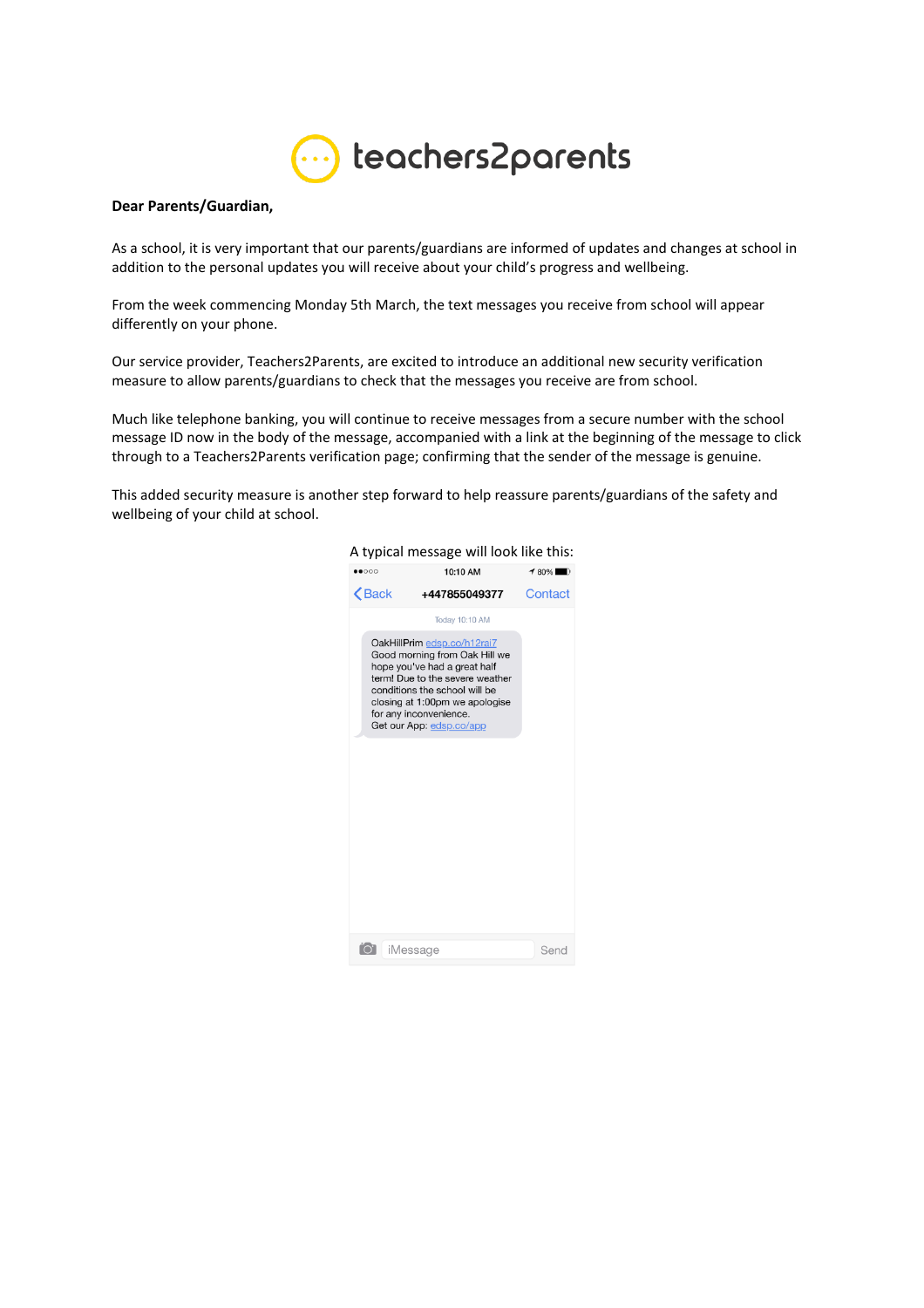

## **Dear Parents/Guardian,**

As a school, it is very important that our parents/guardians are informed of updates and changes at school in addition to the personal updates you will receive about your child's progress and wellbeing.

From the week commencing Monday 5th March, the text messages you receive from school will appear differently on your phone.

Our service provider, Teachers2Parents, are excited to introduce an additional new security verification measure to allow parents/guardians to check that the messages you receive are from school.

Much like telephone banking, you will continue to receive messages from a secure number with the school message ID now in the body of the message, accompanied with a link at the beginning of the message to click through to a Teachers2Parents verification page; confirming that the sender of the message is genuine.

This added security measure is another step forward to help reassure parents/guardians of the safety and wellbeing of your child at school.